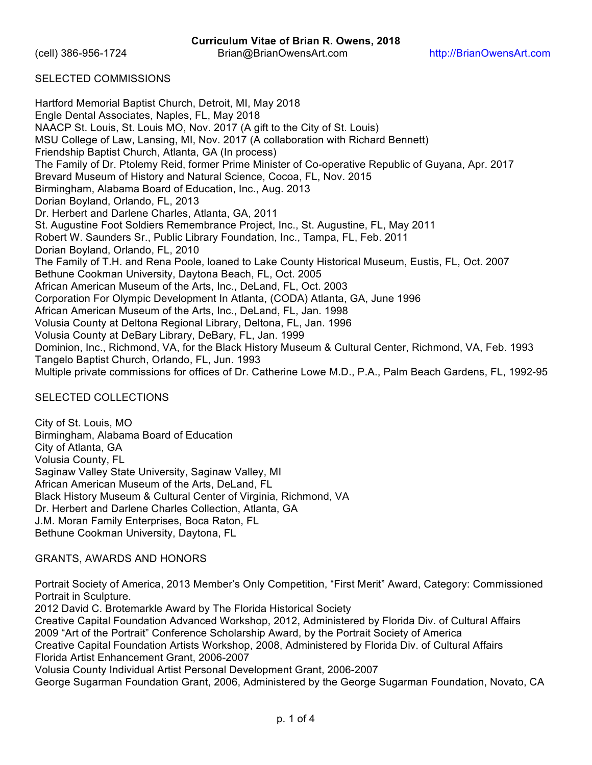## SELECTED COMMISSIONS

Hartford Memorial Baptist Church, Detroit, MI, May 2018 Engle Dental Associates, Naples, FL, May 2018 NAACP St. Louis, St. Louis MO, Nov. 2017 (A gift to the City of St. Louis) MSU College of Law, Lansing, MI, Nov. 2017 (A collaboration with Richard Bennett) Friendship Baptist Church, Atlanta, GA (In process) The Family of Dr. Ptolemy Reid, former Prime Minister of Co-operative Republic of Guyana, Apr. 2017 Brevard Museum of History and Natural Science, Cocoa, FL, Nov. 2015 Birmingham, Alabama Board of Education, Inc., Aug. 2013 Dorian Boyland, Orlando, FL, 2013 Dr. Herbert and Darlene Charles, Atlanta, GA, 2011 St. Augustine Foot Soldiers Remembrance Project, Inc., St. Augustine, FL, May 2011 Robert W. Saunders Sr., Public Library Foundation, Inc., Tampa, FL, Feb. 2011 Dorian Boyland, Orlando, FL, 2010 The Family of T.H. and Rena Poole, loaned to Lake County Historical Museum, Eustis, FL, Oct. 2007 Bethune Cookman University, Daytona Beach, FL, Oct. 2005 African American Museum of the Arts, Inc., DeLand, FL, Oct. 2003 Corporation For Olympic Development In Atlanta, (CODA) Atlanta, GA, June 1996 African American Museum of the Arts, Inc., DeLand, FL, Jan. 1998 Volusia County at Deltona Regional Library, Deltona, FL, Jan. 1996 Volusia County at DeBary Library, DeBary, FL, Jan. 1999 Dominion, Inc., Richmond, VA, for the Black History Museum & Cultural Center, Richmond, VA, Feb. 1993 Tangelo Baptist Church, Orlando, FL, Jun. 1993 Multiple private commissions for offices of Dr. Catherine Lowe M.D., P.A., Palm Beach Gardens, FL, 1992-95

### SELECTED COLLECTIONS

City of St. Louis, MO Birmingham, Alabama Board of Education City of Atlanta, GA Volusia County, FL Saginaw Valley State University, Saginaw Valley, MI African American Museum of the Arts, DeLand, FL Black History Museum & Cultural Center of Virginia, Richmond, VA Dr. Herbert and Darlene Charles Collection, Atlanta, GA J.M. Moran Family Enterprises, Boca Raton, FL Bethune Cookman University, Daytona, FL

# GRANTS, AWARDS AND HONORS

Portrait Society of America, 2013 Member's Only Competition, "First Merit" Award, Category: Commissioned Portrait in Sculpture.

2012 David C. Brotemarkle Award by The Florida Historical Society

Creative Capital Foundation Advanced Workshop, 2012, Administered by Florida Div. of Cultural Affairs 2009 "Art of the Portrait" Conference Scholarship Award, by the Portrait Society of America Creative Capital Foundation Artists Workshop, 2008, Administered by Florida Div. of Cultural Affairs Florida Artist Enhancement Grant, 2006-2007

Volusia County Individual Artist Personal Development Grant, 2006-2007

George Sugarman Foundation Grant, 2006, Administered by the George Sugarman Foundation, Novato, CA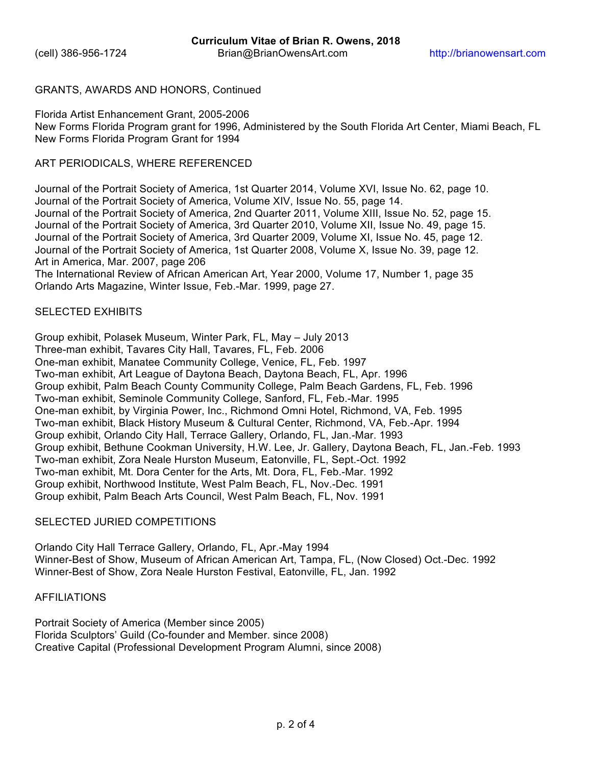## GRANTS, AWARDS AND HONORS, Continued

Florida Artist Enhancement Grant, 2005-2006 New Forms Florida Program grant for 1996, Administered by the South Florida Art Center, Miami Beach, FL New Forms Florida Program Grant for 1994

## ART PERIODICALS, WHERE REFERENCED

Journal of the Portrait Society of America, 1st Quarter 2014, Volume XVI, Issue No. 62, page 10. Journal of the Portrait Society of America, Volume XIV, Issue No. 55, page 14. Journal of the Portrait Society of America, 2nd Quarter 2011, Volume XIII, Issue No. 52, page 15. Journal of the Portrait Society of America, 3rd Quarter 2010, Volume XII, Issue No. 49, page 15. Journal of the Portrait Society of America, 3rd Quarter 2009, Volume XI, Issue No. 45, page 12. Journal of the Portrait Society of America, 1st Quarter 2008, Volume X, Issue No. 39, page 12. Art in America, Mar. 2007, page 206 The International Review of African American Art, Year 2000, Volume 17, Number 1, page 35 Orlando Arts Magazine, Winter Issue, Feb.-Mar. 1999, page 27.

## SELECTED EXHIBITS

Group exhibit, Polasek Museum, Winter Park, FL, May – July 2013 Three-man exhibit, Tavares City Hall, Tavares, FL, Feb. 2006 One-man exhibit, Manatee Community College, Venice, FL, Feb. 1997 Two-man exhibit, Art League of Daytona Beach, Daytona Beach, FL, Apr. 1996 Group exhibit, Palm Beach County Community College, Palm Beach Gardens, FL, Feb. 1996 Two-man exhibit, Seminole Community College, Sanford, FL, Feb.-Mar. 1995 One-man exhibit, by Virginia Power, Inc., Richmond Omni Hotel, Richmond, VA, Feb. 1995 Two-man exhibit, Black History Museum & Cultural Center, Richmond, VA, Feb.-Apr. 1994 Group exhibit, Orlando City Hall, Terrace Gallery, Orlando, FL, Jan.-Mar. 1993 Group exhibit, Bethune Cookman University, H.W. Lee, Jr. Gallery, Daytona Beach, FL, Jan.-Feb. 1993 Two-man exhibit, Zora Neale Hurston Museum, Eatonville, FL, Sept.-Oct. 1992 Two-man exhibit, Mt. Dora Center for the Arts, Mt. Dora, FL, Feb.-Mar. 1992 Group exhibit, Northwood Institute, West Palm Beach, FL, Nov.-Dec. 1991 Group exhibit, Palm Beach Arts Council, West Palm Beach, FL, Nov. 1991

### SELECTED JURIED COMPETITIONS

Orlando City Hall Terrace Gallery, Orlando, FL, Apr.-May 1994 Winner-Best of Show, Museum of African American Art, Tampa, FL, (Now Closed) Oct.-Dec. 1992 Winner-Best of Show, Zora Neale Hurston Festival, Eatonville, FL, Jan. 1992

## AFFILIATIONS

Portrait Society of America (Member since 2005) Florida Sculptors' Guild (Co-founder and Member. since 2008) Creative Capital (Professional Development Program Alumni, since 2008)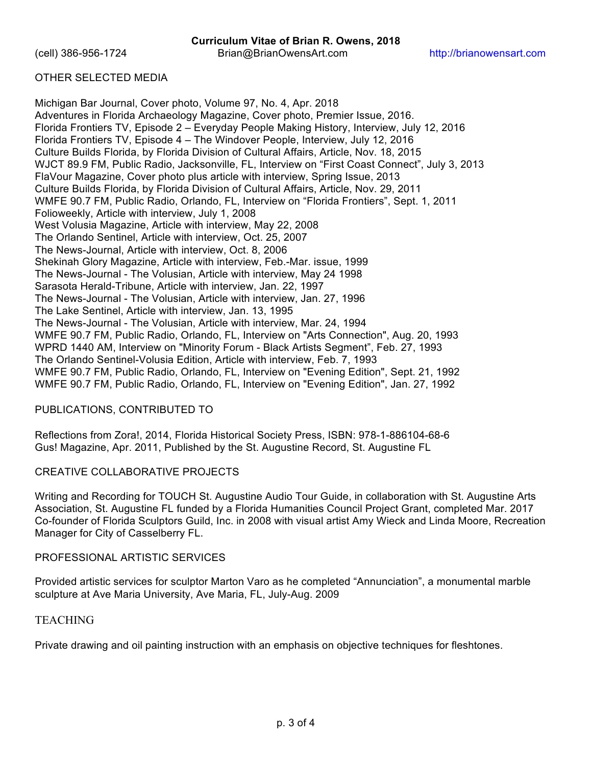## OTHER SELECTED MEDIA

Michigan Bar Journal, Cover photo, Volume 97, No. 4, Apr. 2018 Adventures in Florida Archaeology Magazine, Cover photo, Premier Issue, 2016. Florida Frontiers TV, Episode 2 – Everyday People Making History, Interview, July 12, 2016 Florida Frontiers TV, Episode 4 – The Windover People, Interview, July 12, 2016 Culture Builds Florida, by Florida Division of Cultural Affairs, Article, Nov. 18, 2015 WJCT 89.9 FM, Public Radio, Jacksonville, FL, Interview on "First Coast Connect", July 3, 2013 FlaVour Magazine, Cover photo plus article with interview, Spring Issue, 2013 Culture Builds Florida, by Florida Division of Cultural Affairs, Article, Nov. 29, 2011 WMFE 90.7 FM, Public Radio, Orlando, FL, Interview on "Florida Frontiers", Sept. 1, 2011 Folioweekly, Article with interview, July 1, 2008 West Volusia Magazine, Article with interview, May 22, 2008 The Orlando Sentinel, Article with interview, Oct. 25, 2007 The News-Journal, Article with interview, Oct. 8, 2006 Shekinah Glory Magazine, Article with interview, Feb.-Mar. issue, 1999 The News-Journal - The Volusian, Article with interview, May 24 1998 Sarasota Herald-Tribune, Article with interview, Jan. 22, 1997 The News-Journal - The Volusian, Article with interview, Jan. 27, 1996 The Lake Sentinel, Article with interview, Jan. 13, 1995 The News-Journal - The Volusian, Article with interview, Mar. 24, 1994 WMFE 90.7 FM, Public Radio, Orlando, FL, Interview on "Arts Connection", Aug. 20, 1993 WPRD 1440 AM, Interview on "Minority Forum - Black Artists Segment", Feb. 27, 1993 The Orlando Sentinel-Volusia Edition, Article with interview, Feb. 7, 1993 WMFE 90.7 FM, Public Radio, Orlando, FL, Interview on "Evening Edition", Sept. 21, 1992 WMFE 90.7 FM, Public Radio, Orlando, FL, Interview on "Evening Edition", Jan. 27, 1992

### PUBLICATIONS, CONTRIBUTED TO

Reflections from Zora!, 2014, Florida Historical Society Press, ISBN: 978-1-886104-68-6 Gus! Magazine, Apr. 2011, Published by the St. Augustine Record, St. Augustine FL

### CREATIVE COLLABORATIVE PROJECTS

Writing and Recording for TOUCH St. Augustine Audio Tour Guide, in collaboration with St. Augustine Arts Association, St. Augustine FL funded by a Florida Humanities Council Project Grant, completed Mar. 2017 Co-founder of Florida Sculptors Guild, Inc. in 2008 with visual artist Amy Wieck and Linda Moore, Recreation Manager for City of Casselberry FL.

# PROFESSIONAL ARTISTIC SERVICES

Provided artistic services for sculptor Marton Varo as he completed "Annunciation", a monumental marble sculpture at Ave Maria University, Ave Maria, FL, July-Aug. 2009

### **TEACHING**

Private drawing and oil painting instruction with an emphasis on objective techniques for fleshtones.